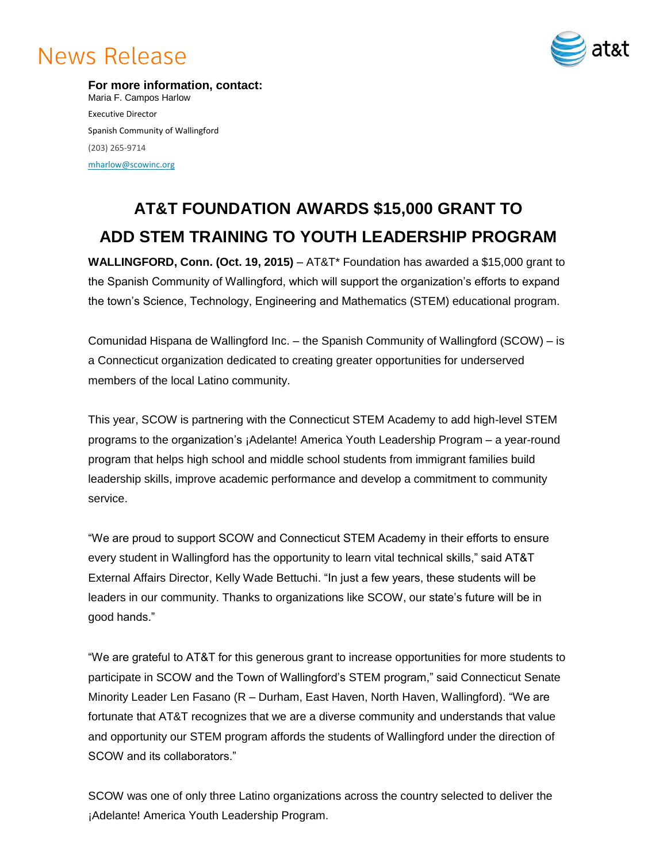# **News Release**



**For more information, contact:** Maria F. Campos Harlow Executive Director Spanish Community of Wallingford (203) 265-9714 [mharlow@scowinc.org](mailto:mharlow@scowinc.org)

## **AT&T FOUNDATION AWARDS \$15,000 GRANT TO ADD STEM TRAINING TO YOUTH LEADERSHIP PROGRAM**

**WALLINGFORD, Conn. (Oct. 19, 2015)** – AT&T\* Foundation has awarded a \$15,000 grant to the Spanish Community of Wallingford, which will support the organization's efforts to expand the town's Science, Technology, Engineering and Mathematics (STEM) educational program.

Comunidad Hispana de Wallingford Inc. – the Spanish Community of Wallingford (SCOW) – is a Connecticut organization dedicated to creating greater opportunities for underserved members of the local Latino community.

This year, SCOW is partnering with the Connecticut STEM Academy to add high-level STEM programs to the organization's ¡Adelante! America Youth Leadership Program – a year-round program that helps high school and middle school students from immigrant families build leadership skills, improve academic performance and develop a commitment to community service.

"We are proud to support SCOW and Connecticut STEM Academy in their efforts to ensure every student in Wallingford has the opportunity to learn vital technical skills," said AT&T External Affairs Director, Kelly Wade Bettuchi. "In just a few years, these students will be leaders in our community. Thanks to organizations like SCOW, our state's future will be in good hands."

"We are grateful to AT&T for this generous grant to increase opportunities for more students to participate in SCOW and the Town of Wallingford's STEM program," said Connecticut Senate Minority Leader Len Fasano (R – Durham, East Haven, North Haven, Wallingford). "We are fortunate that AT&T recognizes that we are a diverse community and understands that value and opportunity our STEM program affords the students of Wallingford under the direction of SCOW and its collaborators."

SCOW was one of only three Latino organizations across the country selected to deliver the ¡Adelante! America Youth Leadership Program.